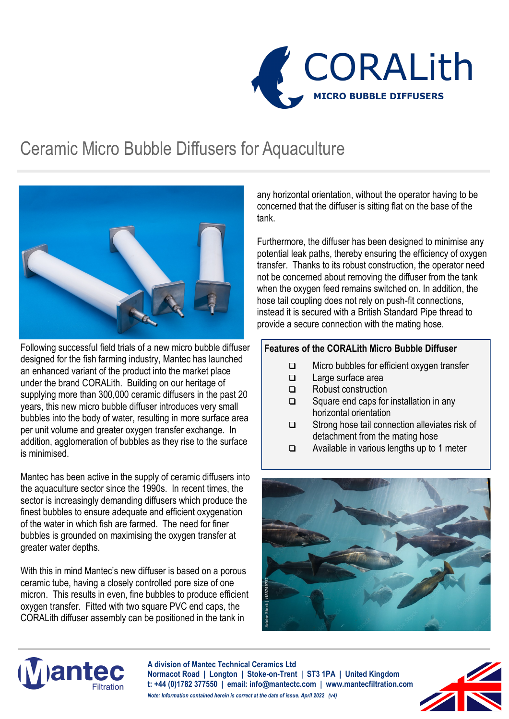

### Ceramic Micro Bubble Diffusers for Aquaculture



Following successful field trials of a new micro bubble diffuser designed for the fish farming industry, Mantec has launched an enhanced variant of the product into the market place under the brand CORALith. Building on our heritage of supplying more than 300,000 ceramic diffusers in the past 20 years, this new micro bubble diffuser introduces very small bubbles into the body of water, resulting in more surface area per unit volume and greater oxygen transfer exchange. In addition, agglomeration of bubbles as they rise to the surface is minimised.

Mantec has been active in the supply of ceramic diffusers into the aquaculture sector since the 1990s. In recent times, the sector is increasingly demanding diffusers which produce the finest bubbles to ensure adequate and efficient oxygenation of the water in which fish are farmed. The need for finer bubbles is grounded on maximising the oxygen transfer at greater water depths.

With this in mind Mantec's new diffuser is based on a porous ceramic tube, having a closely controlled pore size of one micron. This results in even, fine bubbles to produce efficient oxygen transfer. Fitted with two square PVC end caps, the CORALith diffuser assembly can be positioned in the tank in

any horizontal orientation, without the operator having to be concerned that the diffuser is sitting flat on the base of the tank.

Furthermore, the diffuser has been designed to minimise any potential leak paths, thereby ensuring the efficiency of oxygen transfer. Thanks to its robust construction, the operator need not be concerned about removing the diffuser from the tank when the oxygen feed remains switched on. In addition, the hose tail coupling does not rely on push-fit connections, instead it is secured with a British Standard Pipe thread to provide a secure connection with the mating hose.

#### **Features of the CORALith Micro Bubble Diffuser**

- ❑ Micro bubbles for efficient oxygen transfer
- ❑ Large surface area
- ❑ Robust construction
- ❑ Square end caps for installation in any horizontal orientation
- ❑ Strong hose tail connection alleviates risk of detachment from the mating hose
- ❑ Available in various lengths up to 1 meter





**A division of Mantec Technical Ceramics Ltd Normacot Road | Longton | Stoke-on-Trent | ST3 1PA | United Kingdom t: +44 (0)1782 377550 | email: info@mantectc.com | www.mantecfiltration.com** *Note: Information contained herein is correct at the date of issue. April 2022 (v4)*